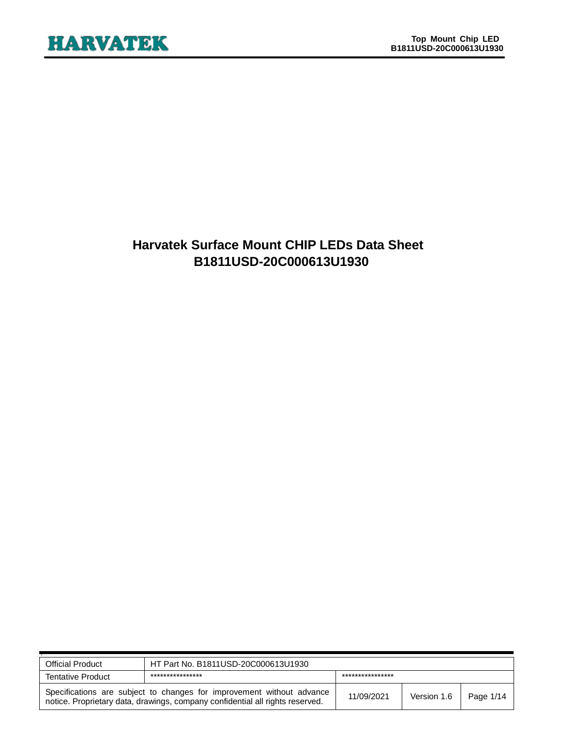## **Harvatek Surface Mount CHIP LEDs Data Sheet B1811USD-20C000613U1930**

| <b>Official Product</b>                                                                                                                                | HT Part No. B1811USD-20C000613U1930 |                  |             |           |
|--------------------------------------------------------------------------------------------------------------------------------------------------------|-------------------------------------|------------------|-------------|-----------|
| <b>Tentative Product</b>                                                                                                                               | ****************                    | **************** |             |           |
| Specifications are subject to changes for improvement without advance<br>notice. Proprietary data, drawings, company confidential all rights reserved. |                                     | 11/09/2021       | Version 1.6 | Page 1/14 |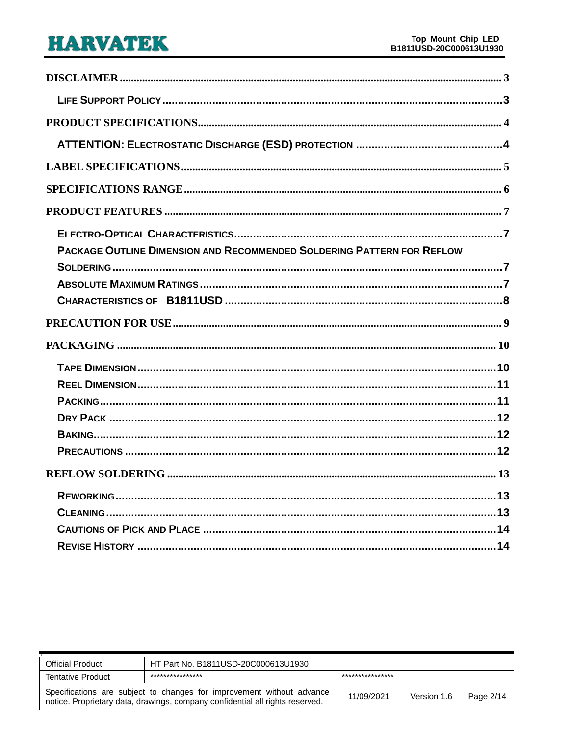| PACKAGE OUTLINE DIMENSION AND RECOMMENDED SOLDERING PATTERN FOR REFLOW |
|------------------------------------------------------------------------|
|                                                                        |
|                                                                        |
|                                                                        |
|                                                                        |
|                                                                        |
|                                                                        |
|                                                                        |
|                                                                        |
|                                                                        |
|                                                                        |
|                                                                        |
|                                                                        |
|                                                                        |
|                                                                        |
|                                                                        |
|                                                                        |

| <b>Official Product</b>  | HT Part No. B1811USD-20C000613U1930                                                                                                                    |                  |             |           |
|--------------------------|--------------------------------------------------------------------------------------------------------------------------------------------------------|------------------|-------------|-----------|
| <b>Tentative Product</b> | ****************                                                                                                                                       | **************** |             |           |
|                          | Specifications are subject to changes for improvement without advance<br>notice. Proprietary data, drawings, company confidential all rights reserved. | 11/09/2021       | Version 1.6 | Page 2/14 |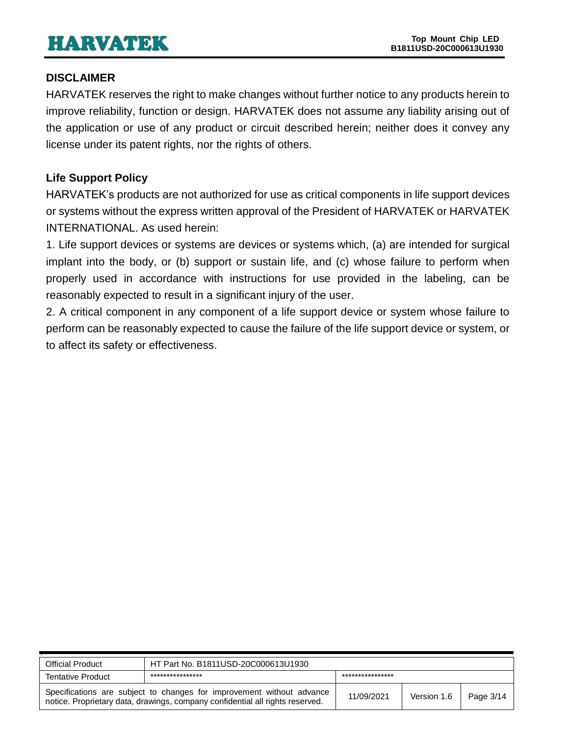### <span id="page-2-0"></span>**DISCLAIMER**

HARVATEK reserves the right to make changes without further notice to any products herein to improve reliability, function or design. HARVATEK does not assume any liability arising out of the application or use of any product or circuit described herein; neither does it convey any license under its patent rights, nor the rights of others.

### <span id="page-2-1"></span>**Life Support Policy**

HARVATEK's products are not authorized for use as critical components in life support devices or systems without the express written approval of the President of HARVATEK or HARVATEK INTERNATIONAL. As used herein:

1. Life support devices or systems are devices or systems which, (a) are intended for surgical implant into the body, or (b) support or sustain life, and (c) whose failure to perform when properly used in accordance with instructions for use provided in the labeling, can be reasonably expected to result in a significant injury of the user.

2. A critical component in any component of a life support device or system whose failure to perform can be reasonably expected to cause the failure of the life support device or system, or to affect its safety or effectiveness.

| <b>Official Product</b>  | HT Part No. B1811USD-20C000613U1930                                                                                                                    |            |             |           |
|--------------------------|--------------------------------------------------------------------------------------------------------------------------------------------------------|------------|-------------|-----------|
| <b>Tentative Product</b> | ****************<br>***************                                                                                                                    |            |             |           |
|                          | Specifications are subject to changes for improvement without advance<br>notice. Proprietary data, drawings, company confidential all rights reserved. | 11/09/2021 | Version 1.6 | Page 3/14 |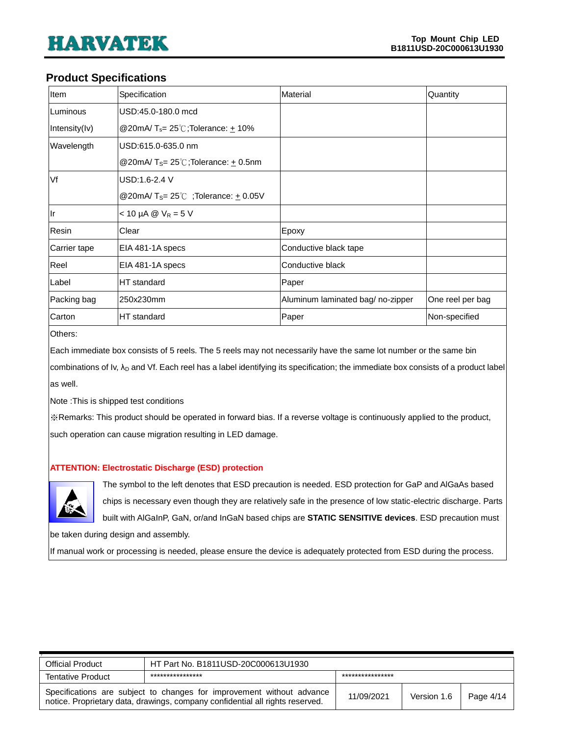#### <span id="page-3-0"></span>**Product Specifications**

| Item          | Specification                                                 | Material                          | Quantity         |
|---------------|---------------------------------------------------------------|-----------------------------------|------------------|
| Luminous      | USD:45.0-180.0 mcd                                            |                                   |                  |
| Intensity(Iv) | @20mA/ $T_s = 25^{\circ}$ ;Tolerance: $\pm$ 10%               |                                   |                  |
| Wavelength    | USD:615.0-635.0 nm                                            |                                   |                  |
|               | @20mA/ $T_{\rm S}$ = 25°C;Tolerance: + 0.5nm                  |                                   |                  |
| Vf            | USD:1.6-2.4 V                                                 |                                   |                  |
|               | @20mA/T <sub>S</sub> = $25^{\circ}$ C; Tolerance: $\pm$ 0.05V |                                   |                  |
| llr           | $<$ 10 µA @ $V_R$ = 5 V                                       |                                   |                  |
| Resin         | Clear                                                         | Epoxy                             |                  |
| Carrier tape  | EIA 481-1A specs                                              | Conductive black tape             |                  |
| Reel          | EIA 481-1A specs                                              | Conductive black                  |                  |
| Label         | HT standard                                                   | Paper                             |                  |
| Packing bag   | 250x230mm                                                     | Aluminum laminated bag/ no-zipper | One reel per bag |
| Carton        | HT standard                                                   | Paper                             | Non-specified    |

Others:

Each immediate box consists of 5 reels. The 5 reels may not necessarily have the same lot number or the same bin

combinations of Iv, λ<sub>D</sub> and Vf. Each reel has a label identifying its specification; the immediate box consists of a product label as well.

Note :This is shipped test conditions

※Remarks: This product should be operated in forward bias. If a reverse voltage is continuously applied to the product, such operation can cause migration resulting in LED damage.

#### <span id="page-3-1"></span>**ATTENTION: Electrostatic Discharge (ESD) protection**



The symbol to the left denotes that ESD precaution is needed. ESD protection for GaP and AlGaAs based chips is necessary even though they are relatively safe in the presence of low static-electric discharge. Parts built with AlGaInP, GaN, or/and InGaN based chips are **STATIC SENSITIVE devices**. ESD precaution must

be taken during design and assembly.

If manual work or processing is needed, please ensure the device is adequately protected from ESD during the process.

| <b>Official Product</b>  | HT Part No. B1811USD-20C000613U1930                                                                                                                    |            |             |           |
|--------------------------|--------------------------------------------------------------------------------------------------------------------------------------------------------|------------|-------------|-----------|
| <b>Tentative Product</b> | ****************<br>***************                                                                                                                    |            |             |           |
|                          | Specifications are subject to changes for improvement without advance<br>notice. Proprietary data, drawings, company confidential all rights reserved. | 11/09/2021 | Version 1.6 | Page 4/14 |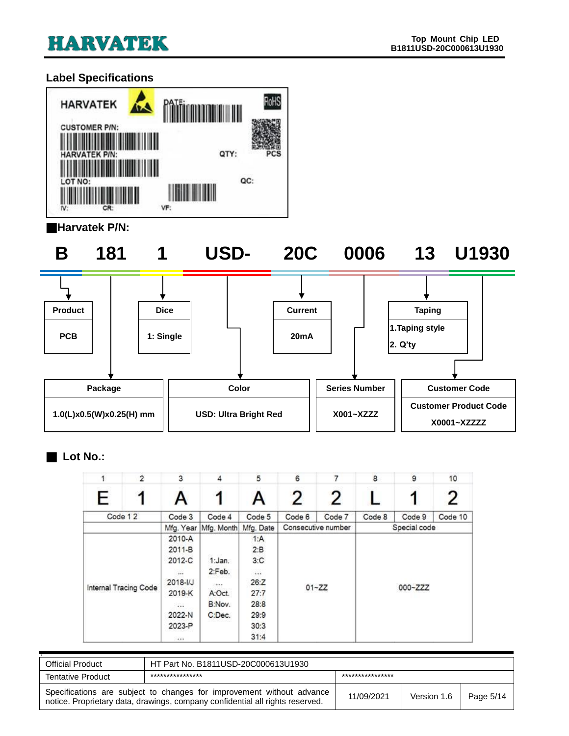### <span id="page-4-0"></span>**Label Specifications**



#### ■**Harvatek P/N:**

## **B 181 1 USD- 20C 0006 13 U1930**



#### ■ **Lot No.:**

|   | $\overline{2}$        | 3            | 4          | 5         | 6      | 7                  | 8      | 9            | 10      |
|---|-----------------------|--------------|------------|-----------|--------|--------------------|--------|--------------|---------|
| E |                       | A            |            | A         | 2      | 2                  |        |              | 2       |
|   | Code 12               | Code 3       | Code 4     | Code 5    | Code 6 | Code 7             | Code 8 | Code 9       | Code 10 |
|   |                       | Mfg. Year    | Mfg. Month | Mfg. Date |        | Consecutive number |        | Special code |         |
|   |                       | 2010-A       |            | 1: A      |        |                    |        |              |         |
|   |                       | 2011-B       |            | 2:B       |        |                    |        |              |         |
|   |                       | 2012-C       | 1:Jan.     | 3:C       |        |                    |        |              |         |
|   |                       | 111          | 2:Feb.     |           |        |                    |        |              |         |
|   |                       | $2018 - 1/J$ | 14.4.9     | 26:Z      |        |                    |        |              |         |
|   | Internal Tracing Code | 2019-K       | A:Oct.     | 27:7      |        | $01 - ZZ$          |        | 000~ZZZ      |         |
|   |                       | $\sim$       | B:Nov.     | 28:8      |        |                    |        |              |         |
|   |                       | 2022-N       | C:Dec.     | 29:9      |        |                    |        |              |         |
|   |                       | 2023-P       |            | 30:3      |        |                    |        |              |         |
|   |                       | 11.1         |            | 31:4      |        |                    |        |              |         |

| <b>Official Product</b>  | HT Part No. B1811USD-20C000613U1930                                                                                                                    |            |             |           |
|--------------------------|--------------------------------------------------------------------------------------------------------------------------------------------------------|------------|-------------|-----------|
| <b>Tentative Product</b> | ***************<br>****************                                                                                                                    |            |             |           |
|                          | Specifications are subject to changes for improvement without advance<br>notice. Proprietary data, drawings, company confidential all rights reserved. | 11/09/2021 | Version 1.6 | Page 5/14 |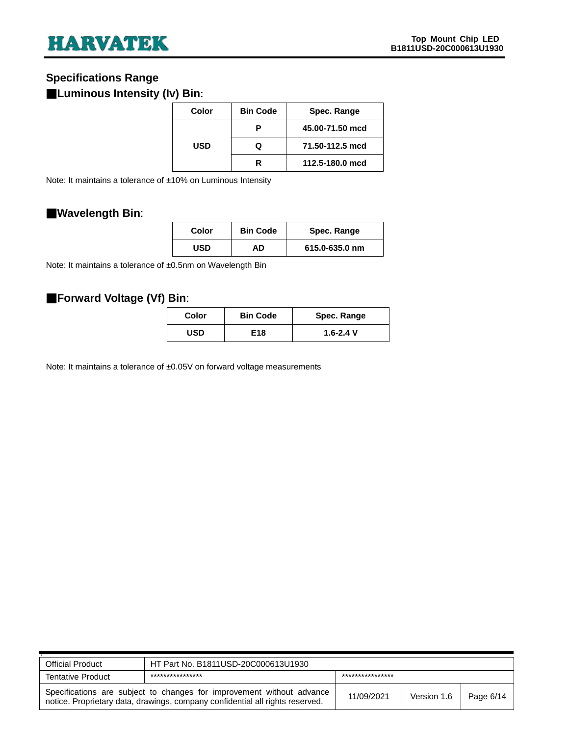### <span id="page-5-0"></span>**Specifications Range**

#### ■**Luminous Intensity (Iv) Bin**:

| Color | <b>Bin Code</b> | Spec. Range     |
|-------|-----------------|-----------------|
|       | Р               | 45.00-71.50 mcd |
| USD   | Q               | 71.50-112.5 mcd |
|       | R               | 112.5-180.0 mcd |

Note: It maintains a tolerance of ±10% on Luminous Intensity

#### ■**Wavelength Bin**:

| Color | <b>Bin Code</b> | Spec. Range    |
|-------|-----------------|----------------|
| USD   | AD.             | 615.0-635.0 nm |

Note: It maintains a tolerance of ±0.5nm on Wavelength Bin

### ■**Forward Voltage (Vf) Bin**:

| Color | <b>Bin Code</b> | Spec. Range   |
|-------|-----------------|---------------|
| USD   | E18             | $1.6 - 2.4$ V |

Note: It maintains a tolerance of ±0.05V on forward voltage measurements

| <b>Official Product</b>  | HT Part No. B1811USD-20C000613U1930                                                                                                                    |                  |             |           |  |
|--------------------------|--------------------------------------------------------------------------------------------------------------------------------------------------------|------------------|-------------|-----------|--|
| <b>Tentative Product</b> | ****************                                                                                                                                       | **************** |             |           |  |
|                          | Specifications are subject to changes for improvement without advance<br>notice. Proprietary data, drawings, company confidential all rights reserved. | 11/09/2021       | Version 1.6 | Page 6/14 |  |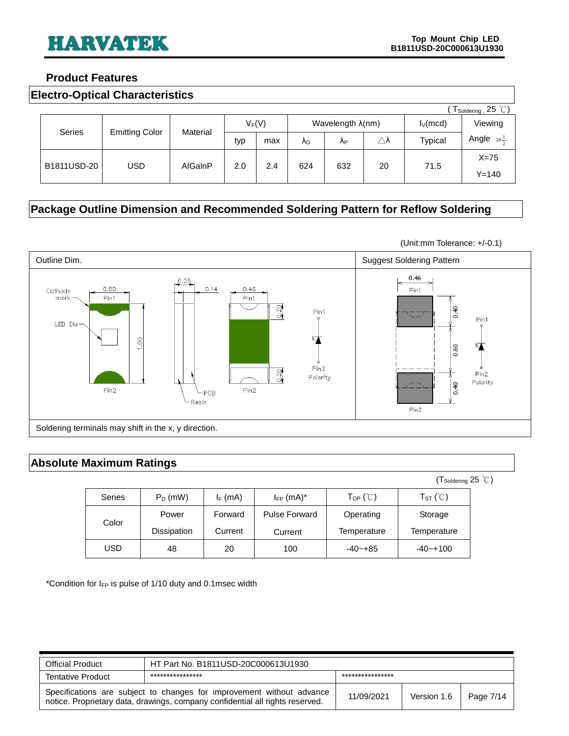#### <span id="page-6-0"></span>**Product Features**

<span id="page-6-1"></span>

|  | <b>Electro-Optical Characteristics</b> |
|--|----------------------------------------|
|--|----------------------------------------|

|               | $T_{\text{Soldering}}$ , 25 °C) |          |          |     |                           |     |                     |                |                             |
|---------------|---------------------------------|----------|----------|-----|---------------------------|-----|---------------------|----------------|-----------------------------|
|               |                                 |          | $V_F(V)$ |     | Wavelength $\lambda$ (nm) |     | $I_V$ (mcd)         | Viewing        |                             |
| <b>Series</b> | <b>Emitting Color</b>           | Material | typ      | max | ΛD                        | ΛP  | $\triangle \lambda$ | <b>Typical</b> | Angle $2\theta \frac{1}{2}$ |
|               |                                 |          |          |     |                           |     |                     |                | $X=75$                      |
| B1811USD-20   | USD.                            | AlGalnP  | 2.0      | 2.4 | 624                       | 632 | 20                  | 71.5           | $Y = 140$                   |

### <span id="page-6-2"></span>**Package Outline Dimension and Recommended Soldering Pattern for Reflow Soldering**



#### <span id="page-6-3"></span>**Absolute Maximum Ratings**

|               |             |            |                            |             | $(\mathsf{T}_{\mathsf{Soldering}}\mathsf{25}\text{ }^{\circ}\mathbb{C})$ |  |
|---------------|-------------|------------|----------------------------|-------------|--------------------------------------------------------------------------|--|
| <b>Series</b> | $P_D$ (mW)  | $I_F$ (mA) | $I_{FP}$ (mA) <sup>*</sup> | Top(C)      | $T_{ST}$ ( $\degree$ C)                                                  |  |
| Color         | Power       | Forward    | Pulse Forward              | Operating   | Storage                                                                  |  |
|               | Dissipation | Current    | Current                    | Temperature | Temperature                                                              |  |
| USD           | 48          | 20         | 100                        | $-40 - +85$ | $-40 - +100$                                                             |  |

\*Condition for  $I_{FP}$  is pulse of 1/10 duty and 0.1msec width

| <b>Official Product</b>                                                                                                                                | HT Part No. B1811USD-20C000613U1930 |                  |             |           |
|--------------------------------------------------------------------------------------------------------------------------------------------------------|-------------------------------------|------------------|-------------|-----------|
| <b>Tentative Product</b>                                                                                                                               | ****************                    | **************** |             |           |
| Specifications are subject to changes for improvement without advance<br>notice. Proprietary data, drawings, company confidential all rights reserved. |                                     | 11/09/2021       | Version 1.6 | Page 7/14 |

(Unit:mm Tolerance: +/-0.1)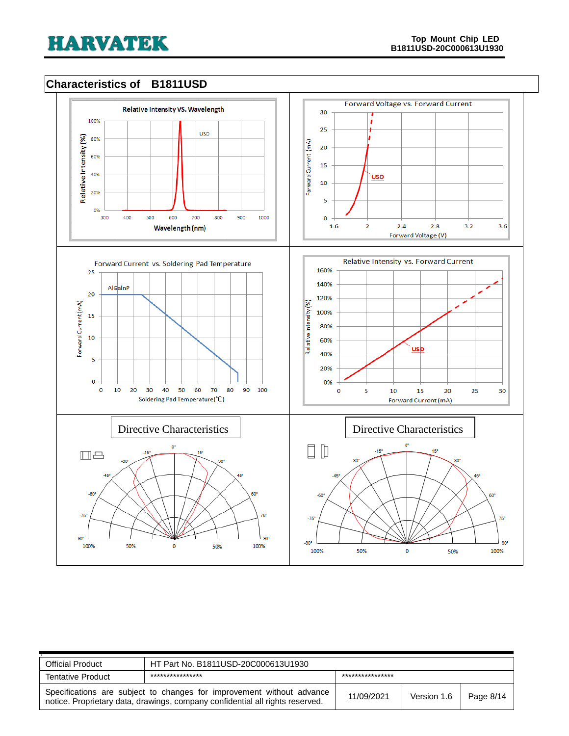#### <span id="page-7-0"></span>**Characteristics of B1811USD**



| <b>Official Product</b>  | HT Part No. B1811USD-20C000613U1930                                                                                                                    |                  |             |           |
|--------------------------|--------------------------------------------------------------------------------------------------------------------------------------------------------|------------------|-------------|-----------|
| <b>Tentative Product</b> | ****************                                                                                                                                       | **************** |             |           |
|                          | Specifications are subject to changes for improvement without advance<br>notice. Proprietary data, drawings, company confidential all rights reserved. | 11/09/2021       | Version 1.6 | Page 8/14 |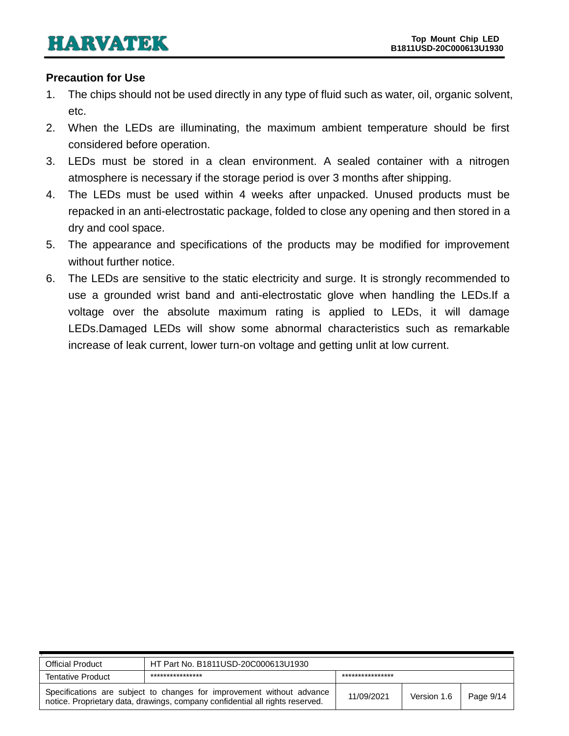#### <span id="page-8-0"></span>**Precaution for Use**

- 1. The chips should not be used directly in any type of fluid such as water, oil, organic solvent, etc.
- 2. When the LEDs are illuminating, the maximum ambient temperature should be first considered before operation.
- 3. LEDs must be stored in a clean environment. A sealed container with a nitrogen atmosphere is necessary if the storage period is over 3 months after shipping.
- 4. The LEDs must be used within 4 weeks after unpacked. Unused products must be repacked in an anti-electrostatic package, folded to close any opening and then stored in a dry and cool space.
- 5. The appearance and specifications of the products may be modified for improvement without further notice.
- 6. The LEDs are sensitive to the static electricity and surge. It is strongly recommended to use a grounded wrist band and anti-electrostatic glove when handling the LEDs.If a voltage over the absolute maximum rating is applied to LEDs, it will damage LEDs.Damaged LEDs will show some abnormal characteristics such as remarkable increase of leak current, lower turn-on voltage and getting unlit at low current.

| <b>Official Product</b>                                                                                                                                | HT Part No. B1811USD-20C000613U1930 |                  |             |           |
|--------------------------------------------------------------------------------------------------------------------------------------------------------|-------------------------------------|------------------|-------------|-----------|
| <b>Tentative Product</b>                                                                                                                               | ****************                    | **************** |             |           |
| Specifications are subject to changes for improvement without advance<br>notice. Proprietary data, drawings, company confidential all rights reserved. |                                     | 11/09/2021       | Version 1.6 | Page 9/14 |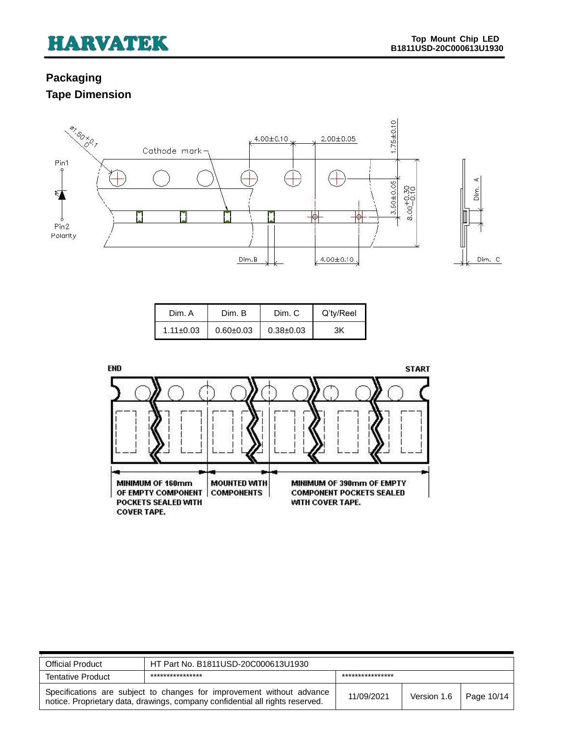### <span id="page-9-1"></span><span id="page-9-0"></span>**Packaging Tape Dimension**



| Dim. A          | Dim. B        | Dim. C        | Q'ty/Reel |
|-----------------|---------------|---------------|-----------|
| $1.11 \pm 0.03$ | $0.60 + 0.03$ | $0.38 + 0.03$ | ЗK        |



| <b>Official Product</b>  | HT Part No. B1811USD-20C000613U1930                                                                                                                    |                  |             |            |
|--------------------------|--------------------------------------------------------------------------------------------------------------------------------------------------------|------------------|-------------|------------|
| <b>Tentative Product</b> | ****************                                                                                                                                       | **************** |             |            |
|                          | Specifications are subject to changes for improvement without advance<br>notice. Proprietary data, drawings, company confidential all rights reserved. | 11/09/2021       | Version 1.6 | Page 10/14 |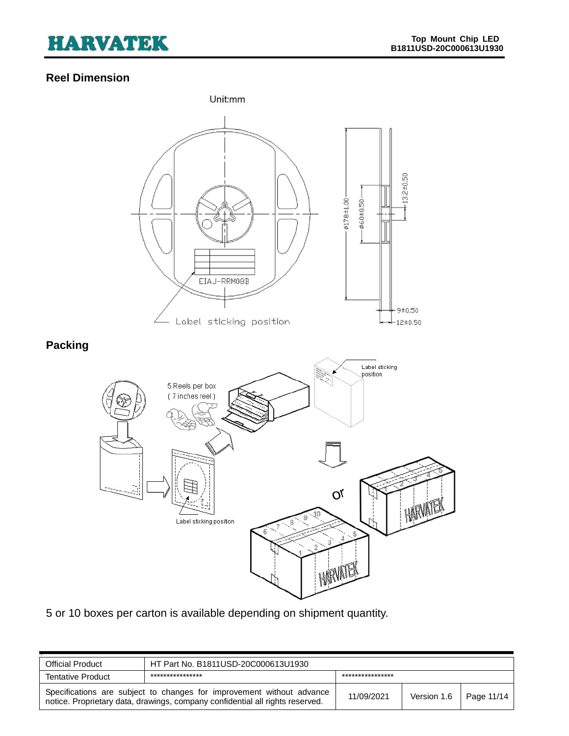#### <span id="page-10-0"></span>**Reel Dimension**

<span id="page-10-1"></span>

5 or 10 boxes per carton is available depending on shipment quantity.

| <b>Official Product</b>                                                                                                                                | HT Part No. B1811USD-20C000613U1930 |                  |             |            |
|--------------------------------------------------------------------------------------------------------------------------------------------------------|-------------------------------------|------------------|-------------|------------|
| <b>Tentative Product</b>                                                                                                                               | ****************                    | **************** |             |            |
| Specifications are subject to changes for improvement without advance<br>notice. Proprietary data, drawings, company confidential all rights reserved. |                                     | 11/09/2021       | Version 1.6 | Page 11/14 |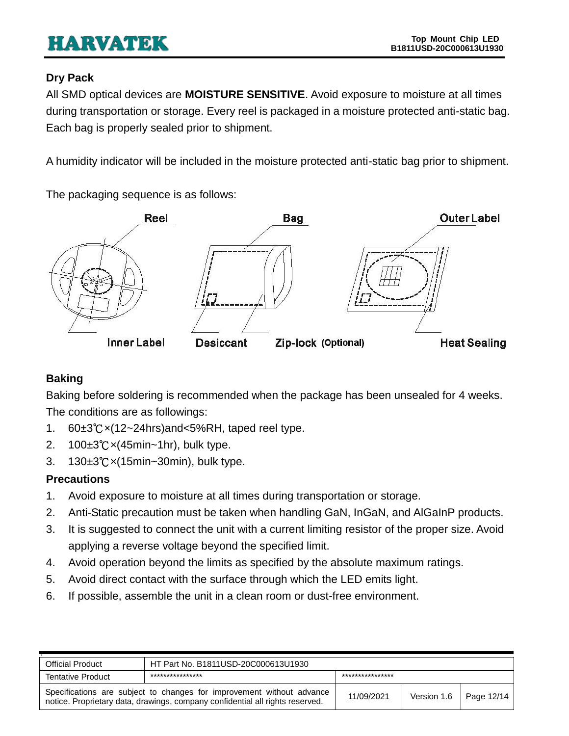### <span id="page-11-0"></span>**Dry Pack**

All SMD optical devices are **MOISTURE SENSITIVE**. Avoid exposure to moisture at all times during transportation or storage. Every reel is packaged in a moisture protected anti-static bag. Each bag is properly sealed prior to shipment.

A humidity indicator will be included in the moisture protected anti-static bag prior to shipment.

The packaging sequence is as follows:



### <span id="page-11-1"></span>**Baking**

Baking before soldering is recommended when the package has been unsealed for 4 weeks. The conditions are as followings:

- 1. 60±3℃×(12~24hrs)and<5%RH, taped reel type.
- 2. 100±3℃×(45min~1hr), bulk type.
- 3. 130±3℃×(15min~30min), bulk type.

### <span id="page-11-2"></span>**Precautions**

- 1. Avoid exposure to moisture at all times during transportation or storage.
- 2. Anti-Static precaution must be taken when handling GaN, InGaN, and AlGaInP products.
- 3. It is suggested to connect the unit with a current limiting resistor of the proper size. Avoid applying a reverse voltage beyond the specified limit.
- 4. Avoid operation beyond the limits as specified by the absolute maximum ratings.
- 5. Avoid direct contact with the surface through which the LED emits light.
- 6. If possible, assemble the unit in a clean room or dust-free environment.

| <b>Official Product</b>                                                                                                                                | HT Part No. B1811USD-20C000613U1930 |                 |             |            |
|--------------------------------------------------------------------------------------------------------------------------------------------------------|-------------------------------------|-----------------|-------------|------------|
| <b>Tentative Product</b>                                                                                                                               | ***************                     | *************** |             |            |
| Specifications are subject to changes for improvement without advance<br>notice. Proprietary data, drawings, company confidential all rights reserved. |                                     | 11/09/2021      | Version 1.6 | Page 12/14 |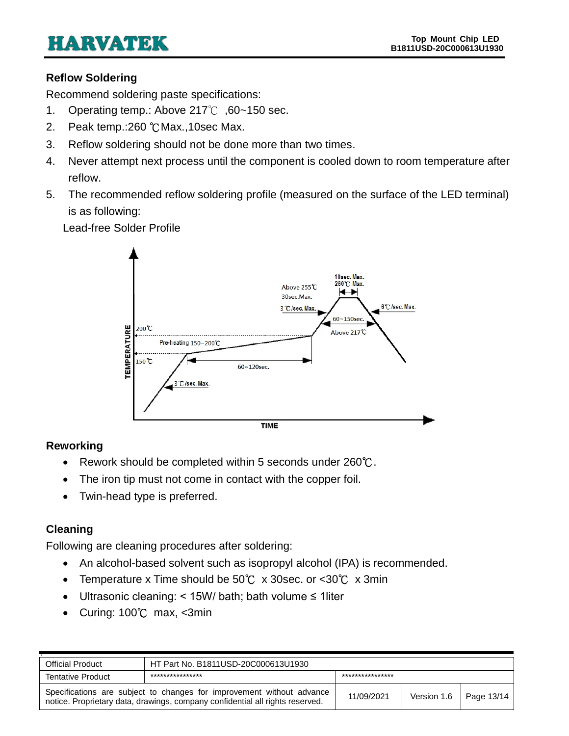### <span id="page-12-0"></span>**Reflow Soldering**

Recommend soldering paste specifications:

- 1. Operating temp.: Above 217℃ ,60~150 sec.
- 2. Peak temp.:260 ℃Max.,10sec Max.
- 3. Reflow soldering should not be done more than two times.
- 4. Never attempt next process until the component is cooled down to room temperature after reflow.
- 5. The recommended reflow soldering profile (measured on the surface of the LED terminal) is as following:

Lead-free Solder Profile



#### <span id="page-12-1"></span>**Reworking**

- Rework should be completed within 5 seconds under 260℃.
- The iron tip must not come in contact with the copper foil.
- Twin-head type is preferred.

### <span id="page-12-2"></span>**Cleaning**

Following are cleaning procedures after soldering:

- An alcohol-based solvent such as isopropyl alcohol (IPA) is recommended.
- Temperature x Time should be 50℃ x 30sec. or <30℃ x 3min
- Ultrasonic cleaning: < 15W/ bath; bath volume ≤ 1liter
- Curing: 100℃ max, <3min

| <b>Official Product</b>                                                                                                                                | HT Part No. B1811USD-20C000613U1930 |                  |             |            |
|--------------------------------------------------------------------------------------------------------------------------------------------------------|-------------------------------------|------------------|-------------|------------|
| <b>Tentative Product</b>                                                                                                                               | ****************                    | **************** |             |            |
| Specifications are subject to changes for improvement without advance<br>notice. Proprietary data, drawings, company confidential all rights reserved. |                                     | 11/09/2021       | Version 1.6 | Page 13/14 |